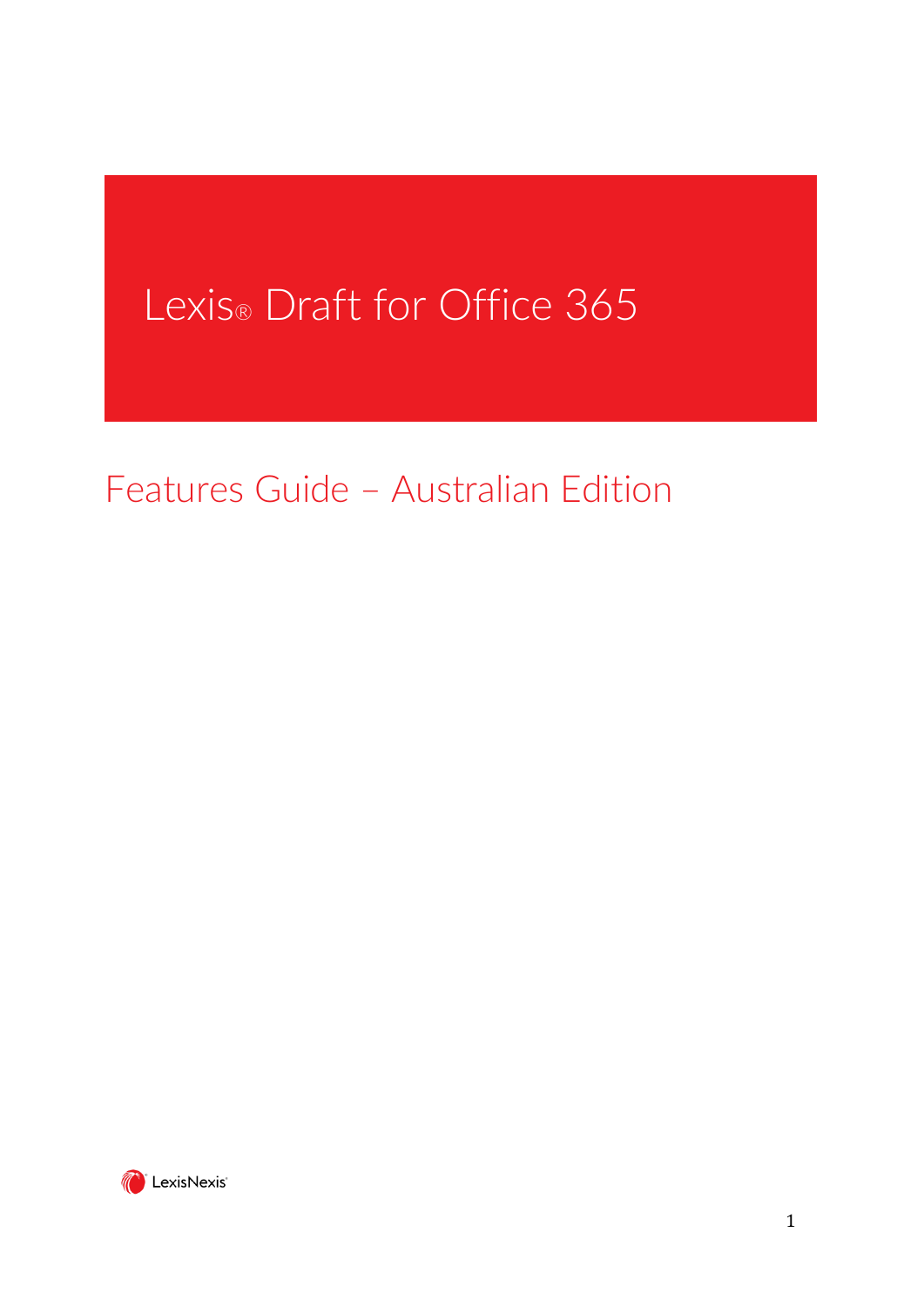# Lexis® Draft for Office 365

Features Guide – Australian Edition

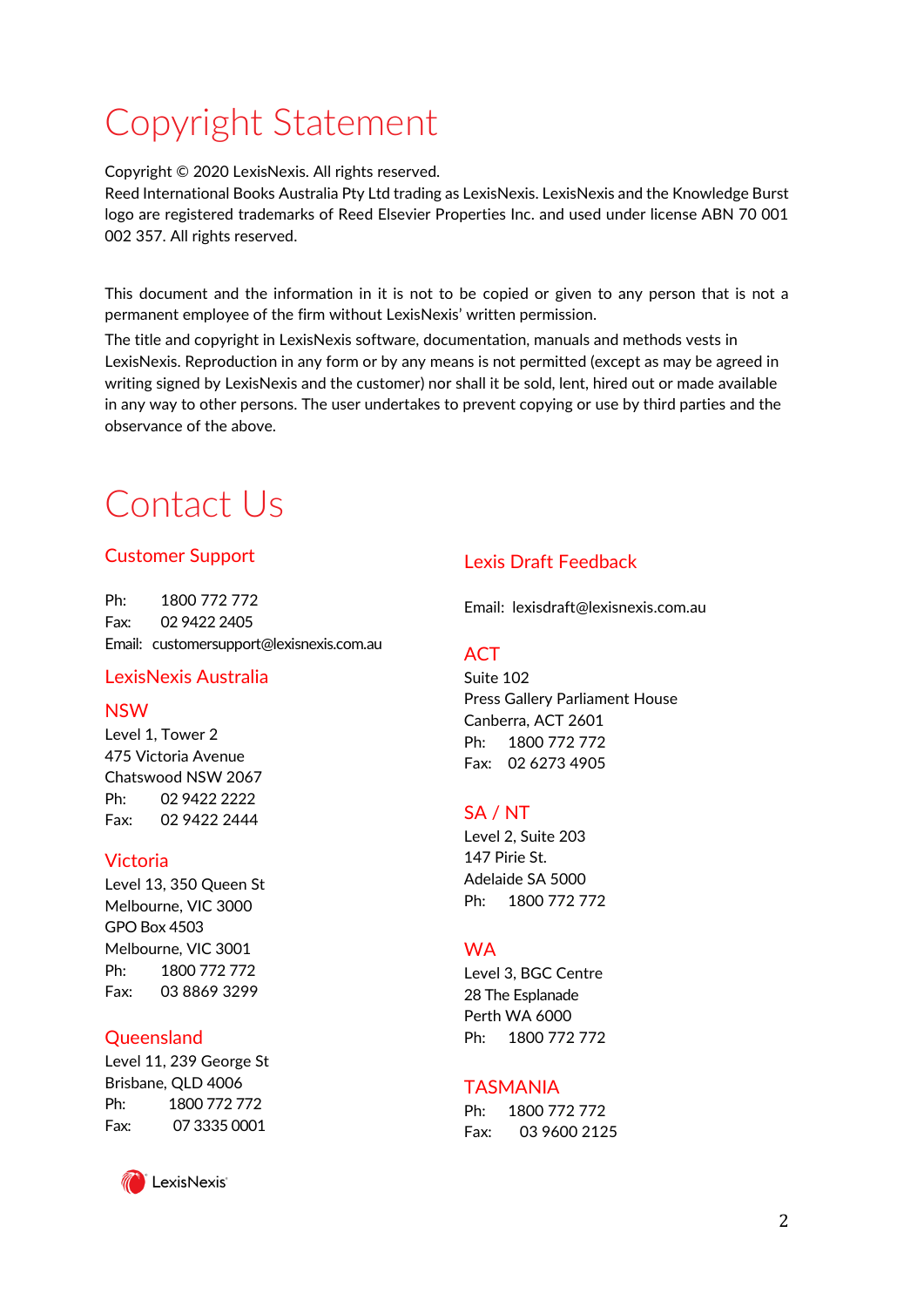## Copyright Statement

Copyright © 2020 LexisNexis. All rights reserved.

Reed International Books Australia Pty Ltd trading as LexisNexis. LexisNexis and the Knowledge Burst logo are registered trademarks of Reed Elsevier Properties Inc. and used under license ABN 70 001 002 357. All rights reserved.

This document and the information in it is not to be copied or given to any person that is not a permanent employee of the firm without LexisNexis' written permission.

The title and copyright in LexisNexis software, documentation, manuals and methods vests in LexisNexis. Reproduction in any form or by any means is not permitted (except as may be agreed in writing signed by LexisNexis and the customer) nor shall it be sold, lent, hired out or made available in any way to other persons. The user undertakes to prevent copying or use by third parties and the observance of the above.

## Contact Us

#### Customer Support

Ph: 1800 772 772 Fax: 02 9422 2405 Email: customersupport@lexisnexis.com.au

#### LexisNexis Australia

#### NSW

Level 1, Tower 2 475 Victoria Avenue Chatswood NSW 2067 Ph: 02 9422 2222 Fax: 02 9422 2444

#### Victoria

Level 13, 350 Queen St Melbourne, VIC 3000 GPO Box 4503 Melbourne, VIC 3001 Ph: 1800 772 772 Fax: 03 8869 3299

#### **Oueensland**

Level 11, 239 George St Brisbane, QLD 4006 Ph: 1800 772 772 Fax: 07 3335 0001



#### Lexis Draft Feedback

Email: lexisdraft@lexisnexis.com.au

#### **ACT**

Suite 102 Press Gallery Parliament House Canberra, ACT 2601 Ph: 1800 772 772 Fax: 02 6273 4905

#### SA / NT

Level 2, Suite 203 147 Pirie St. Adelaide SA 5000 Ph: 1800 772 772

#### WA

Level 3, BGC Centre 28 The Esplanade Perth WA 6000 Ph: 1800 772 772

#### TASMANIA

Ph: 1800 772 772 Fax: 03 9600 2125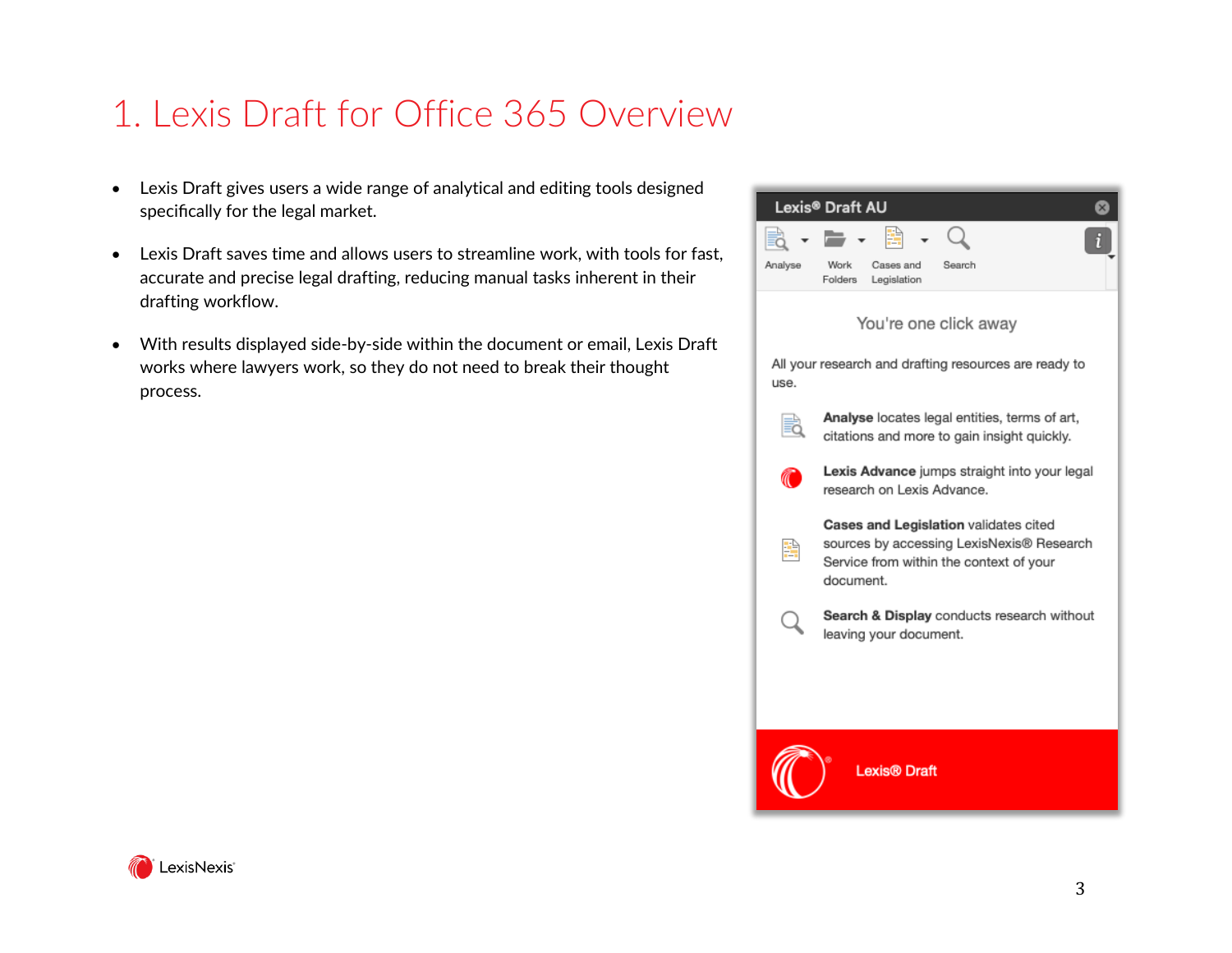## 1. Lexis Draft for Office 365 Overview

- Lexis Draft gives users a wide range of analytical and editing tools designed specifically for the legal market.
- Lexis Draft saves time and allows users to streamline work, with tools for fast, accurate and precise legal drafting, reducing manual tasks inherent in their drafting workflow.
- With results displayed side-by-side within the document or email, Lexis Draft works where lawyers work, so they do not need to break their thought process.

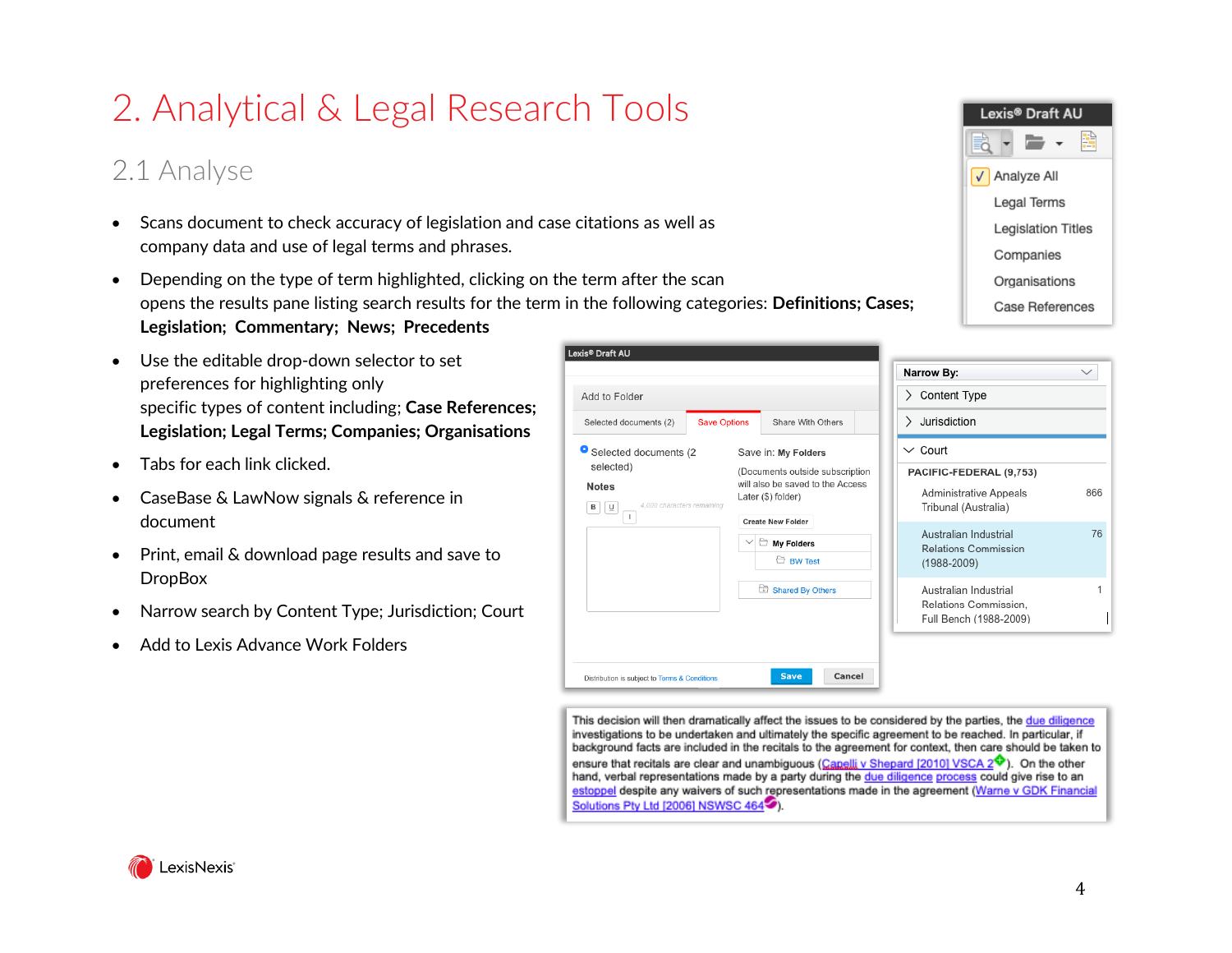## 2. Analytical & Legal Research Tools

### 2.1 Analyse

- Scans document to check accuracy of legislation and case citations as well as company data and use of legal terms and phrases.
- Depending on the type of term highlighted, clicking on the term after the scan opens the results pane listing search results for the term in the following categories: **Definitions; Cases; Legislation; Commentary; News; Precedents**
- Use the editable drop-down selector to set preferences for highlighting only specific types of content including; **Case References; Legislation; Legal Terms; Companies; Organisations**
- Tabs for each link clicked.
- CaseBase & LawNow signals & reference in document
- Print, email & download page results and save to **DropBox**
- Narrow search by Content Type; Jurisdiction; Court
- Add to Lexis Advance Work Folders



|                                                                      |                                                        | Narrow By:                                            | $\checkmark$ |  |
|----------------------------------------------------------------------|--------------------------------------------------------|-------------------------------------------------------|--------------|--|
| Add to Folder                                                        |                                                        | > Content Type                                        |              |  |
| Selected documents (2)                                               | <b>Save Options</b><br>Share With Others               | Jurisdiction<br>⋋                                     |              |  |
| g<br>Selected documents (2                                           | Save in: My Folders                                    | $\vee$ Court                                          |              |  |
| selected)                                                            | (Documents outside subscription                        | PACIFIC-FEDERAL (9,753)                               |              |  |
| <b>Notes</b><br>4,000 characters remaining<br>⊍<br>в<br>$\mathbb{R}$ | will also be saved to the Access<br>Later (\$) folder) | 866<br>Administrative Appeals<br>Tribunal (Australia) |              |  |
|                                                                      | <b>Create New Folder</b>                               | Australian Industrial                                 | 76           |  |
|                                                                      | My Folders                                             | Relations Commission                                  |              |  |
|                                                                      | <b>BW Test</b>                                         | $(1988 - 2009)$                                       |              |  |
|                                                                      | Shared By Others                                       | Australian Industrial                                 |              |  |
|                                                                      |                                                        | Relations Commission.                                 |              |  |
|                                                                      |                                                        | Full Bench (1988-2009)                                |              |  |

This decision will then dramatically affect the issues to be considered by the parties, the due diligence investigations to be undertaken and ultimately the specific agreement to be reached. In particular, if background facts are included in the recitals to the agreement for context, then care should be taken to ensure that recitals are clear and unambiguous (Canelli v Shepard [2010] VSCA 2<sup> $\diamondsuit$ </sup>). On the other hand, verbal representations made by a party during the due diligence process could give rise to an estoppel despite any waivers of such representations made in the agreement (Warne v GDK Financial Solutions Pty Ltd [2006] NSWSC 464-9).

#### LexisNexis'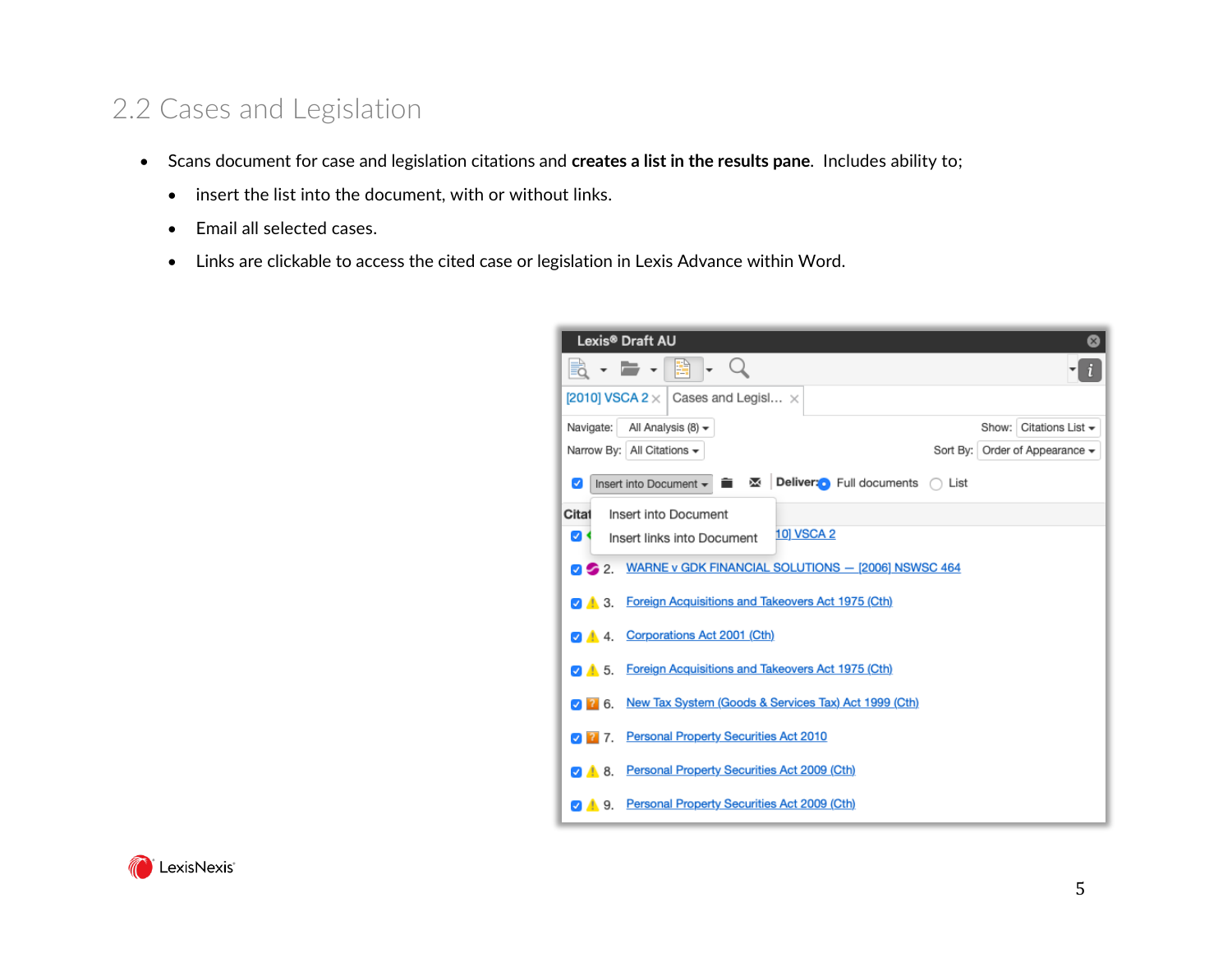### 2.2 Cases and Legislation

- Scans document for case and legislation citations and **creates a list in the results pane**. Includes ability to;
	- insert the list into the document, with or without links.
	- Email all selected cases.
	- Links are clickable to access the cited case or legislation in Lexis Advance within Word.

| Lexis® Draft AU                                                                    |      | $\mathbf{x}$                                  |  |  |
|------------------------------------------------------------------------------------|------|-----------------------------------------------|--|--|
| €                                                                                  |      |                                               |  |  |
| [2010] VSCA 2 $\times$  <br>Cases and Legisl $\times$                              |      |                                               |  |  |
| Navigate:<br>All Analysis (8) $\star$                                              |      | Citations List $\blacktriangleright$<br>Show: |  |  |
| Narrow By: All Citations -                                                         |      | Sort By:   Order of Appearance $\star$        |  |  |
| Deliver: Full documents<br>Insert into Document ▼<br>⋈<br>â<br>✓                   | List |                                               |  |  |
| Citat<br>Insert into Document                                                      |      |                                               |  |  |
| 10 VSCA 2<br>ØK,<br>Insert links into Document                                     |      |                                               |  |  |
| WARNE v GDK FINANCIAL SOLUTIONS - [2006] NSWSC 464<br>$\sqrt{2}$ 2.                |      |                                               |  |  |
| 4. 3. Foreign Acquisitions and Takeovers Act 1975 (Cth)                            |      |                                               |  |  |
| Corporations Act 2001 (Cth)<br><b>24</b> 4                                         |      |                                               |  |  |
| Foreign Acquisitions and Takeovers Act 1975 (Cth)<br>$\blacksquare$ 5.             |      |                                               |  |  |
| New Tax System (Goods & Services Tax) Act 1999 (Cth)<br>$\nabla$ $\overline{?}$ 6. |      |                                               |  |  |
| <b>Personal Property Securities Act 2010</b><br>27.                                |      |                                               |  |  |
| Personal Property Securities Act 2009 (Cth)<br><b>248.</b>                         |      |                                               |  |  |
| Personal Property Securities Act 2009 (Cth)<br>A 9.                                |      |                                               |  |  |

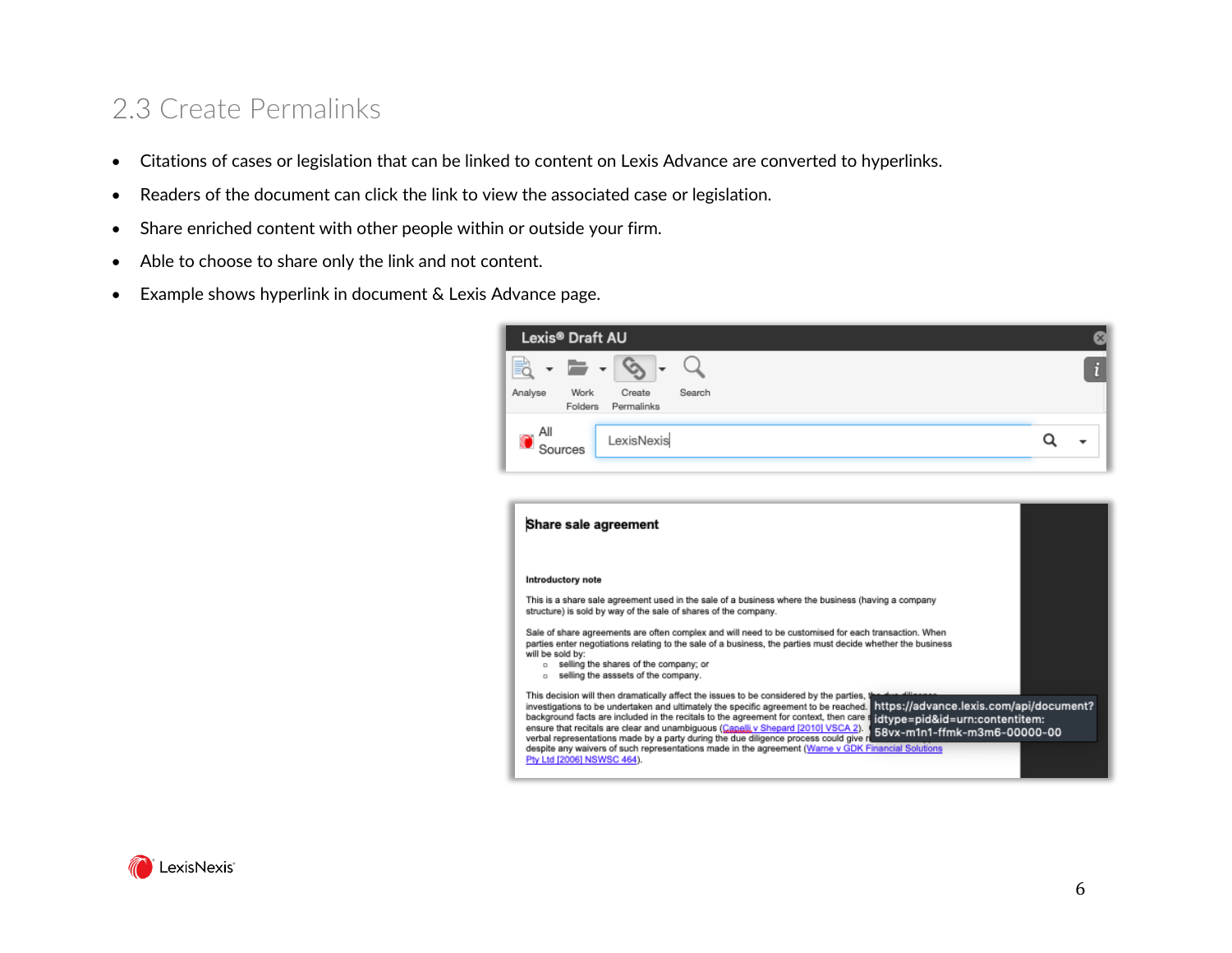### 2.3 Create Permalinks

- Citations of cases or legislation that can be linked to content on Lexis Advance are converted to hyperlinks.
- Readers of the document can click the link to view the associated case or legislation.
- Share enriched content with other people within or outside your firm.
- Able to choose to share only the link and not content.
- Example shows hyperlink in document & Lexis Advance page.